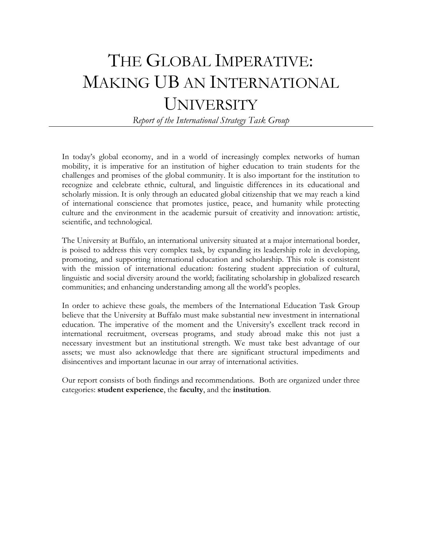# THE GLOBAL IMPERATIVE: MAKING UB AN INTERNATIONAL UNIVERSITY

*Report of the International Strategy Task Group* 

In today's global economy, and in a world of increasingly complex networks of human mobility, it is imperative for an institution of higher education to train students for the challenges and promises of the global community. It is also important for the institution to recognize and celebrate ethnic, cultural, and linguistic differences in its educational and scholarly mission. It is only through an educated global citizenship that we may reach a kind of international conscience that promotes justice, peace, and humanity while protecting culture and the environment in the academic pursuit of creativity and innovation: artistic, scientific, and technological.

The University at Buffalo, an international university situated at a major international border, is poised to address this very complex task, by expanding its leadership role in developing, promoting, and supporting international education and scholarship. This role is consistent with the mission of international education: fostering student appreciation of cultural, linguistic and social diversity around the world; facilitating scholarship in globalized research communities; and enhancing understanding among all the world's peoples.

In order to achieve these goals, the members of the International Education Task Group believe that the University at Buffalo must make substantial new investment in international education. The imperative of the moment and the University's excellent track record in international recruitment, overseas programs, and study abroad make this not just a necessary investment but an institutional strength. We must take best advantage of our assets; we must also acknowledge that there are significant structural impediments and disincentives and important lacunae in our array of international activities.

Our report consists of both findings and recommendations. Both are organized under three categories: **student experience**, the **faculty**, and the **institution**.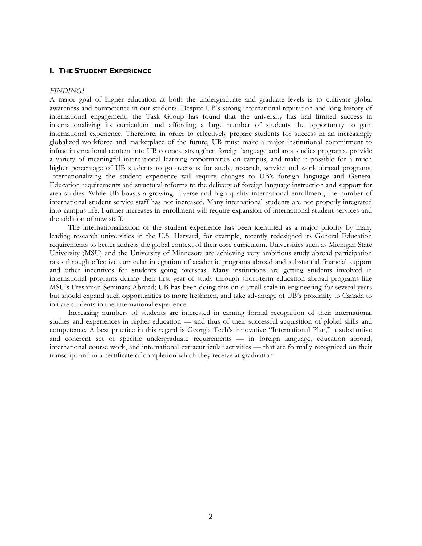#### **I. THE STUDENT EXPERIENCE**

#### *FINDINGS*

A major goal of higher education at both the undergraduate and graduate levels is to cultivate global awareness and competence in our students. Despite UB's strong international reputation and long history of international engagement, the Task Group has found that the university has had limited success in internationalizing its curriculum and affording a large number of students the opportunity to gain international experience. Therefore, in order to effectively prepare students for success in an increasingly globalized workforce and marketplace of the future, UB must make a major institutional commitment to infuse international content into UB courses, strengthen foreign language and area studies programs, provide a variety of meaningful international learning opportunities on campus, and make it possible for a much higher percentage of UB students to go overseas for study, research, service and work abroad programs. Internationalizing the student experience will require changes to UB's foreign language and General Education requirements and structural reforms to the delivery of foreign language instruction and support for area studies. While UB boasts a growing, diverse and high-quality international enrollment, the number of international student service staff has not increased. Many international students are not properly integrated into campus life. Further increases in enrollment will require expansion of international student services and the addition of new staff.

The internationalization of the student experience has been identified as a major priority by many leading research universities in the U.S. Harvard, for example, recently redesigned its General Education requirements to better address the global context of their core curriculum. Universities such as Michigan State University (MSU) and the University of Minnesota are achieving very ambitious study abroad participation rates through effective curricular integration of academic programs abroad and substantial financial support and other incentives for students going overseas. Many institutions are getting students involved in international programs during their first year of study through short-term education abroad programs like MSU's Freshman Seminars Abroad; UB has been doing this on a small scale in engineering for several years but should expand such opportunities to more freshmen, and take advantage of UB's proximity to Canada to initiate students in the international experience.

Increasing numbers of students are interested in earning formal recognition of their international studies and experiences in higher education — and thus of their successful acquisition of global skills and competence. A best practice in this regard is Georgia Tech's innovative "International Plan," a substantive and coherent set of specific undergraduate requirements — in foreign language, education abroad, international course work, and international extracurricular activities — that are formally recognized on their transcript and in a certificate of completion which they receive at graduation.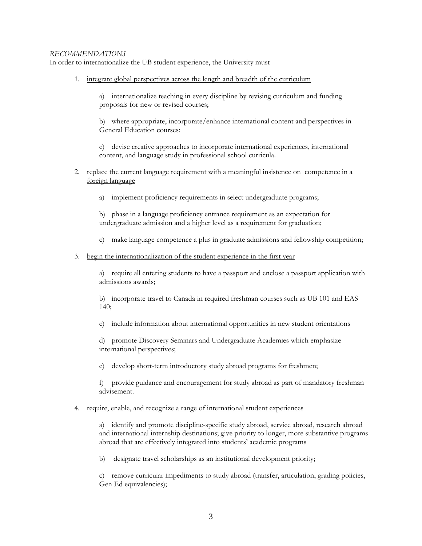## *RECOMMENDATIONS*

In order to internationalize the UB student experience, the University must

1. integrate global perspectives across the length and breadth of the curriculum

a) internationalize teaching in every discipline by revising curriculum and funding proposals for new or revised courses;

b) where appropriate, incorporate/enhance international content and perspectives in General Education courses;

c) devise creative approaches to incorporate international experiences, international content, and language study in professional school curricula.

- 2. replace the current language requirement with a meaningful insistence on competence in a foreign language
	- a) implement proficiency requirements in select undergraduate programs;

b) phase in a language proficiency entrance requirement as an expectation for undergraduate admission and a higher level as a requirement for graduation;

c) make language competence a plus in graduate admissions and fellowship competition;

## 3. begin the internationalization of the student experience in the first year

a) require all entering students to have a passport and enclose a passport application with admissions awards;

b) incorporate travel to Canada in required freshman courses such as UB 101 and EAS 140;

c) include information about international opportunities in new student orientations

d) promote Discovery Seminars and Undergraduate Academies which emphasize international perspectives;

e) develop short-term introductory study abroad programs for freshmen;

f) provide guidance and encouragement for study abroad as part of mandatory freshman advisement.

## 4. require, enable, and recognize a range of international student experiences

a) identify and promote discipline-specific study abroad, service abroad, research abroad and international internship destinations; give priority to longer, more substantive programs abroad that are effectively integrated into students' academic programs

b) designate travel scholarships as an institutional development priority;

c) remove curricular impediments to study abroad (transfer, articulation, grading policies, Gen Ed equivalencies);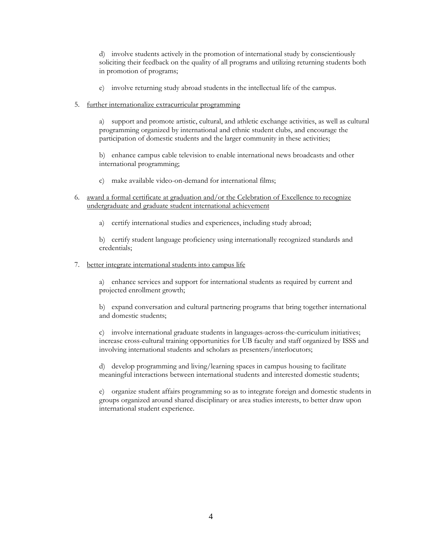d) involve students actively in the promotion of international study by conscientiously soliciting their feedback on the quality of all programs and utilizing returning students both in promotion of programs;

- e) involve returning study abroad students in the intellectual life of the campus.
- 5. further internationalize extracurricular programming

a) support and promote artistic, cultural, and athletic exchange activities, as well as cultural programming organized by international and ethnic student clubs, and encourage the participation of domestic students and the larger community in these activities;

b) enhance campus cable television to enable international news broadcasts and other international programming;

- c) make available video-on-demand for international films;
- 6. award a formal certificate at graduation and/or the Celebration of Excellence to recognize undergraduate and graduate student international achievement
	- a) certify international studies and experiences, including study abroad;

b) certify student language proficiency using internationally recognized standards and credentials;

7. better integrate international students into campus life

a) enhance services and support for international students as required by current and projected enrollment growth;

b) expand conversation and cultural partnering programs that bring together international and domestic students;

c) involve international graduate students in languages-across-the-curriculum initiatives; increase cross-cultural training opportunities for UB faculty and staff organized by ISSS and involving international students and scholars as presenters/interlocutors;

d) develop programming and living/learning spaces in campus housing to facilitate meaningful interactions between international students and interested domestic students;

e) organize student affairs programming so as to integrate foreign and domestic students in groups organized around shared disciplinary or area studies interests, to better draw upon international student experience.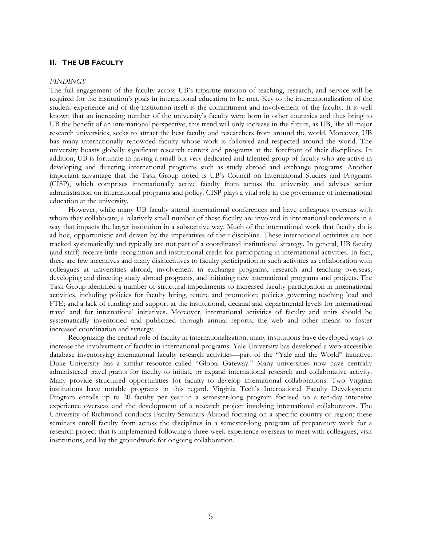### **II. THE UB FACULTY**

#### *FINDINGS*

The full engagement of the faculty across UB's tripartite mission of teaching, research, and service will be required for the institution's goals in international education to be met. Key to the internationalization of the student experience and of the institution itself is the commitment and involvement of the faculty. It is well known that an increasing number of the university's faculty were born in other countries and thus bring to UB the benefit of an international perspective; this trend will only increase in the future, as UB, like all major research universities, seeks to attract the best faculty and researchers from around the world. Moreover, UB has many internationally renowned faculty whose work is followed and respected around the world. The university boasts globally significant research centers and programs at the forefront of their disciplines. In addition, UB is fortunate in having a small but very dedicated and talented group of faculty who are active in developing and directing international programs such as study abroad and exchange programs. Another important advantage that the Task Group noted is UB's Council on International Studies and Programs (CISP), which comprises internationally active faculty from across the university and advises senior administration on international programs and policy. CISP plays a vital role in the governance of international education at the university.

However, while many UB faculty attend international conferences and have colleagues overseas with whom they collaborate, a relatively small number of these faculty are involved in international endeavors in a way that impacts the larger institution in a substantive way. Much of the international work that faculty do is ad hoc, opportunistic and driven by the imperatives of their discipline. These international activities are not tracked systematically and typically are not part of a coordinated institutional strategy. In general, UB faculty (and staff) receive little recognition and institutional credit for participating in international activities. In fact, there are few incentives and many disincentives to faculty participation in such activities as collaboration with colleagues at universities abroad, involvement in exchange programs, research and teaching overseas, developing and directing study abroad programs, and initiating new international programs and projects. The Task Group identified a number of structural impediments to increased faculty participation in international activities, including policies for faculty hiring, tenure and promotion; policies governing teaching load and FTE; and a lack of funding and support at the institutional, decanal and departmental levels for international travel and for international initiatives. Moreover, international activities of faculty and units should be systematically inventoried and publicized through annual reports, the web and other means to foster increased coordination and synergy.

Recognizing the central role of faculty in internationalization, many institutions have developed ways to increase the involvement of faculty in international programs. Yale University has developed a web-accessible database inventorying international faculty research activities—part of the "Yale and the World" initiative. Duke University has a similar resource called "Global Gateway." Many universities now have centrally administered travel grants for faculty to initiate or expand international research and collaborative activity. Many provide structured opportunities for faculty to develop international collaborations. Two Virginia institutions have notable programs in this regard. Virginia Tech's International Faculty Development Program enrolls up to 20 faculty per year in a semester-long program focused on a ten-day intensive experience overseas and the development of a research project involving international collaborators. The University of Richmond conducts Faculty Seminars Abroad focusing on a specific country or region; these seminars enroll faculty from across the disciplines in a semester-long program of preparatory work for a research project that is implemented following a three-week experience overseas to meet with colleagues, visit institutions, and lay the groundwork for ongoing collaboration.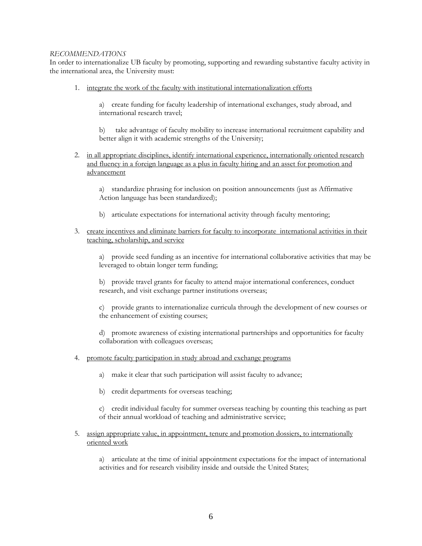## *RECOMMENDATIONS*

In order to internationalize UB faculty by promoting, supporting and rewarding substantive faculty activity in the international area, the University must:

1. integrate the work of the faculty with institutional internationalization efforts

a) create funding for faculty leadership of international exchanges, study abroad, and international research travel;

b) take advantage of faculty mobility to increase international recruitment capability and better align it with academic strengths of the University;

2. in all appropriate disciplines, identify international experience, internationally oriented research and fluency in a foreign language as a plus in faculty hiring and an asset for promotion and advancement

a) standardize phrasing for inclusion on position announcements (just as Affirmative Action language has been standardized);

- b) articulate expectations for international activity through faculty mentoring;
- 3. create incentives and eliminate barriers for faculty to incorporate international activities in their teaching, scholarship, and service

a) provide seed funding as an incentive for international collaborative activities that may be leveraged to obtain longer term funding;

b) provide travel grants for faculty to attend major international conferences, conduct research, and visit exchange partner institutions overseas;

c) provide grants to internationalize curricula through the development of new courses or the enhancement of existing courses;

d) promote awareness of existing international partnerships and opportunities for faculty collaboration with colleagues overseas;

- 4. promote faculty participation in study abroad and exchange programs
	- a) make it clear that such participation will assist faculty to advance;
	- b) credit departments for overseas teaching;

c) credit individual faculty for summer overseas teaching by counting this teaching as part of their annual workload of teaching and administrative service;

5. assign appropriate value, in appointment, tenure and promotion dossiers, to internationally oriented work

a) articulate at the time of initial appointment expectations for the impact of international activities and for research visibility inside and outside the United States;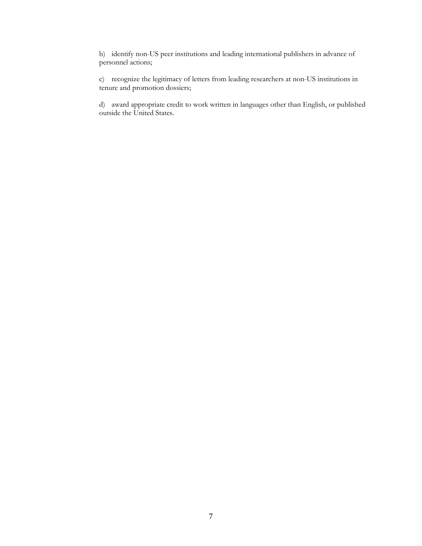b) identify non-US peer institutions and leading international publishers in advance of personnel actions;

c) recognize the legitimacy of letters from leading researchers at non-US institutions in tenure and promotion dossiers;

d) award appropriate credit to work written in languages other than English, or published outside the United States.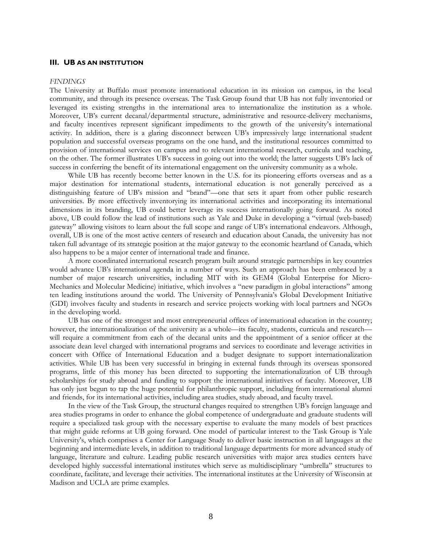#### **III. UB AS AN INSTITUTION**

#### *FINDINGS*

The University at Buffalo must promote international education in its mission on campus, in the local community, and through its presence overseas. The Task Group found that UB has not fully inventoried or leveraged its existing strengths in the international area to internationalize the institution as a whole. Moreover, UB's current decanal/departmental structure, administrative and resource-delivery mechanisms, and faculty incentives represent significant impediments to the growth of the university's international activity. In addition, there is a glaring disconnect between UB's impressively large international student population and successful overseas programs on the one hand, and the institutional resources committed to provision of international services on campus and to relevant international research, curricula and teaching, on the other. The former illustrates UB's success in going out into the world; the latter suggests UB's lack of success in conferring the benefit of its international engagement on the university community as a whole.

While UB has recently become better known in the U.S. for its pioneering efforts overseas and as a major destination for international students, international education is not generally perceived as a distinguishing feature of UB's mission and "brand"—one that sets it apart from other public research universities. By more effectively inventorying its international activities and incorporating its international dimensions in its branding, UB could better leverage its success internationally going forward. As noted above, UB could follow the lead of institutions such as Yale and Duke in developing a "virtual (web-based) gateway" allowing visitors to learn about the full scope and range of UB's international endeavors. Although, overall, UB is one of the most active centers of research and education about Canada, the university has not taken full advantage of its strategic position at the major gateway to the economic heartland of Canada, which also happens to be a major center of international trade and finance.

A more coordinated international research program built around strategic partnerships in key countries would advance UB's international agenda in a number of ways. Such an approach has been embraced by a number of major research universities, including MIT with its GEM4 (Global Enterprise for Micro-Mechanics and Molecular Medicine) initiative, which involves a "new paradigm in global interactions" among ten leading institutions around the world. The University of Pennsylvania's Global Development Initiative (GDI) involves faculty and students in research and service projects working with local partners and NGOs in the developing world.

UB has one of the strongest and most entrepreneurial offices of international education in the country; however, the internationalization of the university as a whole—its faculty, students, curricula and research will require a commitment from each of the decanal units and the appointment of a senior officer at the associate dean level charged with international programs and services to coordinate and leverage activities in concert with Office of International Education and a budget designate to support internationalization activities. While UB has been very successful in bringing in external funds through its overseas sponsored programs, little of this money has been directed to supporting the internationalization of UB through scholarships for study abroad and funding to support the international initiatives of faculty. Moreover, UB has only just begun to tap the huge potential for philanthropic support, including from international alumni and friends, for its international activities, including area studies, study abroad, and faculty travel.

In the view of the Task Group, the structural changes required to strengthen UB's foreign language and area studies programs in order to enhance the global competence of undergraduate and graduate students will require a specialized task group with the necessary expertise to evaluate the many models of best practices that might guide reforms at UB going forward. One model of particular interest to the Task Group is Yale University's, which comprises a Center for Language Study to deliver basic instruction in all languages at the beginning and intermediate levels, in addition to traditional language departments for more advanced study of language, literature and culture. Leading public research universities with major area studies centers have developed highly successful international institutes which serve as multidisciplinary "umbrella" structures to coordinate, facilitate, and leverage their activities. The international institutes at the University of Wisconsin at Madison and UCLA are prime examples.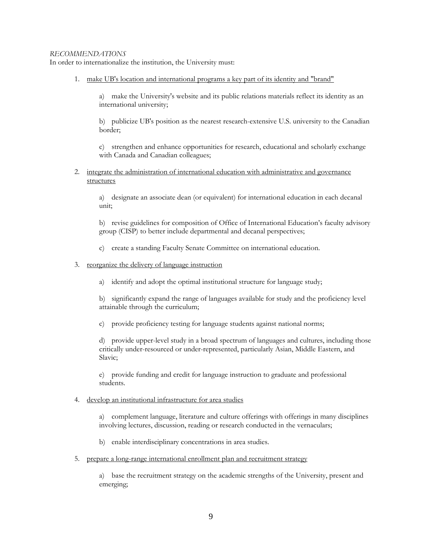## *RECOMMENDATIONS*

In order to internationalize the institution, the University must:

1. make UB's location and international programs a key part of its identity and "brand"

a) make the University's website and its public relations materials reflect its identity as an international university;

b) publicize UB's position as the nearest research-extensive U.S. university to the Canadian border;

c) strengthen and enhance opportunities for research, educational and scholarly exchange with Canada and Canadian colleagues;

2. integrate the administration of international education with administrative and governance structures

a) designate an associate dean (or equivalent) for international education in each decanal unit;

b) revise guidelines for composition of Office of International Education's faculty advisory group (CISP) to better include departmental and decanal perspectives;

- c) create a standing Faculty Senate Committee on international education.
- 3. reorganize the delivery of language instruction
	- a) identify and adopt the optimal institutional structure for language study;

b) significantly expand the range of languages available for study and the proficiency level attainable through the curriculum;

c) provide proficiency testing for language students against national norms;

d) provide upper-level study in a broad spectrum of languages and cultures, including those critically under-resourced or under-represented, particularly Asian, Middle Eastern, and Slavic;

e) provide funding and credit for language instruction to graduate and professional students.

4. develop an institutional infrastructure for area studies

a) complement language, literature and culture offerings with offerings in many disciplines involving lectures, discussion, reading or research conducted in the vernaculars;

- b) enable interdisciplinary concentrations in area studies.
- 5. prepare a long-range international enrollment plan and recruitment strategy

a) base the recruitment strategy on the academic strengths of the University, present and emerging;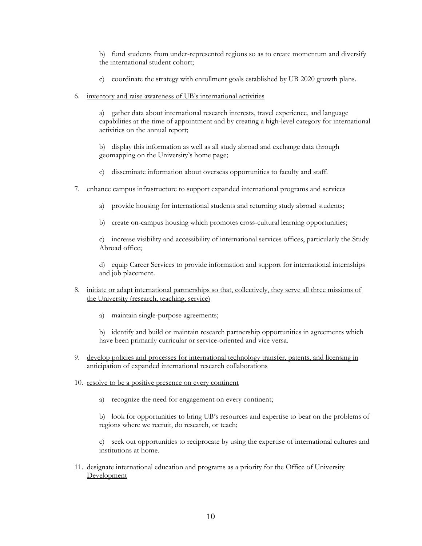b) fund students from under-represented regions so as to create momentum and diversify the international student cohort;

- c) coordinate the strategy with enrollment goals established by UB 2020 growth plans.
- 6. inventory and raise awareness of UB's international activities

a) gather data about international research interests, travel experience, and language capabilities at the time of appointment and by creating a high-level category for international activities on the annual report;

b) display this information as well as all study abroad and exchange data through geomapping on the University's home page;

- c) disseminate information about overseas opportunities to faculty and staff.
- 7. enhance campus infrastructure to support expanded international programs and services
	- a) provide housing for international students and returning study abroad students;
	- b) create on-campus housing which promotes cross-cultural learning opportunities;

c) increase visibility and accessibility of international services offices, particularly the Study Abroad office;

d) equip Career Services to provide information and support for international internships and job placement.

- 8. initiate or adapt international partnerships so that, collectively, they serve all three missions of the University (research, teaching, service)
	- a) maintain single-purpose agreements;

b) identify and build or maintain research partnership opportunities in agreements which have been primarily curricular or service-oriented and vice versa.

- 9. develop policies and processes for international technology transfer, patents, and licensing in anticipation of expanded international research collaborations
- 10. resolve to be a positive presence on every continent
	- a) recognize the need for engagement on every continent;

b) look for opportunities to bring UB's resources and expertise to bear on the problems of regions where we recruit, do research, or teach;

c) seek out opportunities to reciprocate by using the expertise of international cultures and institutions at home.

11. designate international education and programs as a priority for the Office of University Development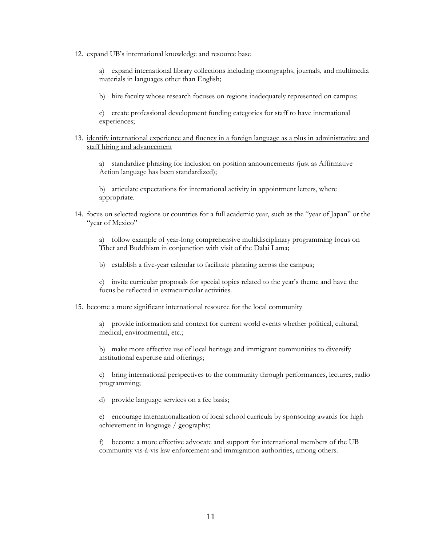#### 12. expand UB's international knowledge and resource base

a) expand international library collections including monographs, journals, and multimedia materials in languages other than English;

b) hire faculty whose research focuses on regions inadequately represented on campus;

c) create professional development funding categories for staff to have international experiences;

## 13. identify international experience and fluency in a foreign language as a plus in administrative and staff hiring and advancement

a) standardize phrasing for inclusion on position announcements (just as Affirmative Action language has been standardized);

b) articulate expectations for international activity in appointment letters, where appropriate.

## 14. focus on selected regions or countries for a full academic year, such as the "year of Japan" or the "year of Mexico"

a) follow example of year-long comprehensive multidisciplinary programming focus on Tibet and Buddhism in conjunction with visit of the Dalai Lama;

b) establish a five-year calendar to facilitate planning across the campus;

c) invite curricular proposals for special topics related to the year's theme and have the focus be reflected in extracurricular activities.

## 15. become a more significant international resource for the local community

a) provide information and context for current world events whether political, cultural, medical, environmental, etc.;

b) make more effective use of local heritage and immigrant communities to diversify institutional expertise and offerings;

c) bring international perspectives to the community through performances, lectures, radio programming;

d) provide language services on a fee basis;

e) encourage internationalization of local school curricula by sponsoring awards for high achievement in language / geography;

f) become a more effective advocate and support for international members of the UB community vis-à-vis law enforcement and immigration authorities, among others.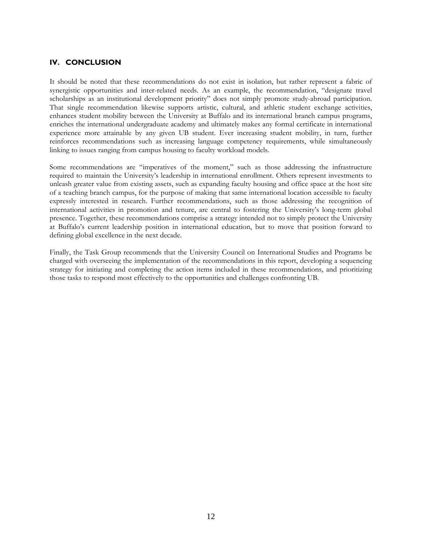## **IV. CONCLUSION**

It should be noted that these recommendations do not exist in isolation, but rather represent a fabric of synergistic opportunities and inter-related needs. As an example, the recommendation, "designate travel scholarships as an institutional development priority" does not simply promote study-abroad participation. That single recommendation likewise supports artistic, cultural, and athletic student exchange activities. enhances student mobility between the University at Buffalo and its international branch campus programs, enriches the international undergraduate academy and ultimately makes any formal certificate in international experience more attainable by any given UB student. Ever increasing student mobility, in turn, further reinforces recommendations such as increasing language competency requirements, while simultaneously linking to issues ranging from campus housing to faculty workload models.

Some recommendations are "imperatives of the moment," such as those addressing the infrastructure required to maintain the University's leadership in international enrollment. Others represent investments to unleash greater value from existing assets, such as expanding faculty housing and office space at the host site of a teaching branch campus, for the purpose of making that same international location accessible to faculty expressly interested in research. Further recommendations, such as those addressing the recognition of international activities in promotion and tenure, are central to fostering the University's long-term global presence. Together, these recommendations comprise a strategy intended not to simply protect the University at Buffalo's current leadership position in international education, but to move that position forward to defining global excellence in the next decade.

Finally, the Task Group recommends that the University Council on International Studies and Programs be charged with overseeing the implementation of the recommendations in this report, developing a sequencing strategy for initiating and completing the action items included in these recommendations, and prioritizing those tasks to respond most effectively to the opportunities and challenges confronting UB.